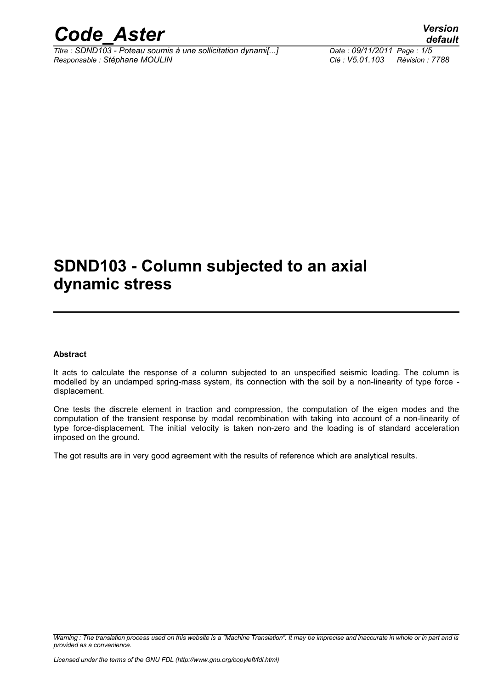

*Titre : SDND103 - Poteau soumis à une sollicitation dynami[...] Date : 09/11/2011 Page : 1/5 Responsable : Stéphane MOULIN Clé : V5.01.103 Révision : 7788*

*default*

## **SDND103 - Column subjected to an axial dynamic stress**

#### **Abstract**

It acts to calculate the response of a column subjected to an unspecified seismic loading. The column is modelled by an undamped spring-mass system, its connection with the soil by a non-linearity of type force displacement.

One tests the discrete element in traction and compression, the computation of the eigen modes and the computation of the transient response by modal recombination with taking into account of a non-linearity of type force-displacement. The initial velocity is taken non-zero and the loading is of standard acceleration imposed on the ground.

The got results are in very good agreement with the results of reference which are analytical results.

*Warning : The translation process used on this website is a "Machine Translation". It may be imprecise and inaccurate in whole or in part and is provided as a convenience.*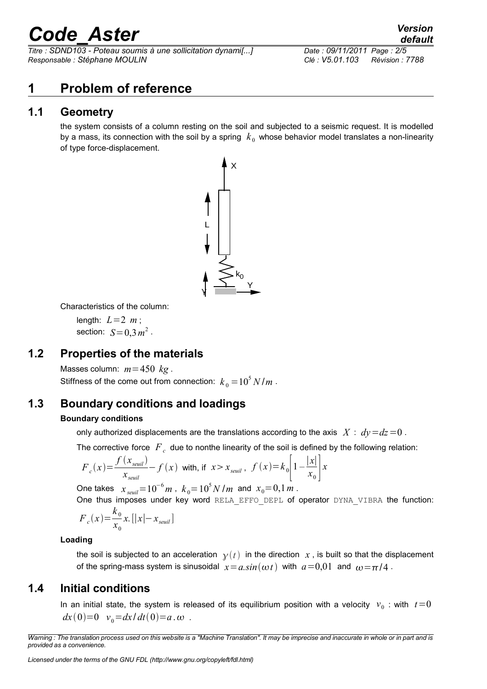# *Code\_Aster Version*

*Titre : SDND103 - Poteau soumis à une sollicitation dynami[...] Date : 09/11/2011 Page : 2/5 Responsable : Stéphane MOULIN Clé : V5.01.103 Révision : 7788*

#### **1 Problem of reference**

#### **1.1 Geometry**

the system consists of a column resting on the soil and subjected to a seismic request. It is modelled by a mass, its connection with the soil by a spring  $k<sub>0</sub>$  whose behavior model translates a non-linearity of type force-displacement.



Characteristics of the column:

length:  $L=2$  *m*; section:  $S=0,3 m^2$ .

#### **1.2 Properties of the materials**

Masses column:  $m=450$   $kg$ . Stiffness of the come out from connection:  $k_{_0}$  =  $10^5$   $N/m$  .

#### **1.3 Boundary conditions and loadings**

#### **Boundary conditions**

only authorized displacements are the translations according to the axis  $X : dy = dz = 0$ .

The corrective force  $\overline{F}_c$  due to nonthe linearity of the soil is defined by the following relation:

$$
F_c(x) = \frac{f(x_{seuil})}{x_{seuil}} - f(x)
$$
 with, if  $x > x_{seuil}$ ,  $f(x) = k_0 \left[1 - \frac{|x|}{x_0}\right]x$ 

One takes  $x_{\textit{seuil}} = 10^{-6} \, \textit{m}$  ,  $k_{\textit{0}} = 10^{5} \, \textit{N} \, \textit{l}$  m and  $x_{\textit{0}} = 0.1 \, \textit{m}$  .

One thus imposes under key word RELA\_EFFO\_DEPL of operator DYNA\_VIBRA the function:  $F_c(x) = \frac{k_0}{x}$ *x*0 *x.*[∣*x*∣−*xseuil*]

#### **Loading**

the soil is subjected to an acceleration  $y(t)$  in the direction x, is built so that the displacement of the spring-mass system is sinusoidal  $x = a \sin(\omega t)$  with  $a = 0.01$  and  $\omega = \pi/4$ .

#### **1.4 Initial conditions**

In an initial state, the system is released of its equilibrium position with a velocity  $v_0$ : with  $t=0$  $dx(0)=0$   $v_0=dx/dt(0)=a \cdot \omega$ .

*Warning : The translation process used on this website is a "Machine Translation". It may be imprecise and inaccurate in whole or in part and is provided as a convenience.*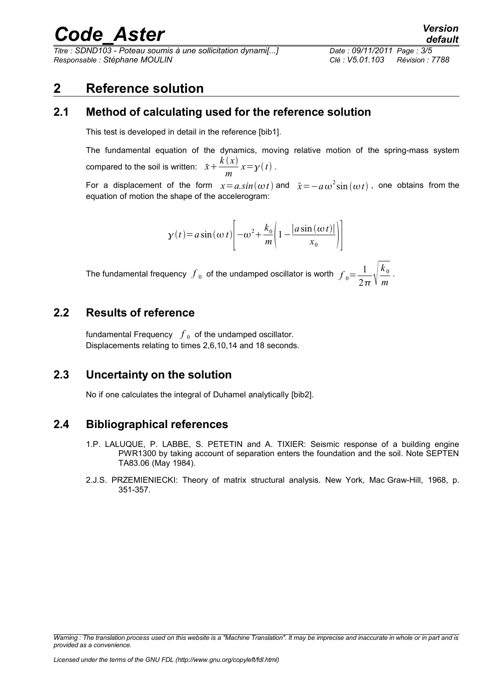## *Code\_Aster Version*

*Titre : SDND103 - Poteau soumis à une sollicitation dynami[...] Date : 09/11/2011 Page : 3/5 Responsable : Stéphane MOULIN Clé : V5.01.103 Révision : 7788*

#### **2 Reference solution**

#### **2.1 Method of calculating used for the reference solution**

This test is developed in detail in the reference [bib1].

The fundamental equation of the dynamics, moving relative motion of the spring-mass system compared to the soil is written:  $\ddot{x} + \frac{k(x)}{x}$ *m*  $x=y(t)$ .

For a displacement of the form  $x = a.sin(\omega t)$  and  $\ddot{x} = -a\,\omega^2\sin{(\omega t)}$ , one obtains from the equation of motion the shape of the accelerogram:

$$
y(t) = a\sin(\omega t) \left[ -\omega^2 + \frac{k_0}{m} \left( 1 - \frac{|a\sin(\omega t)|}{x_0} \right) \right]
$$

The fundamental frequency  $\,\overline{\!f}_{\,0}\,$  of the undamped oscillator is worth  $\,\overline{\!f}_{\,0} \! =\! \frac{1}{2}$  $2\pi$  \ m  $k_{\rm 0}$ *m* .

#### **2.2 Results of reference**

fundamental Frequency  $\,\int_{\,0}\,$  of the undamped oscillator. Displacements relating to times 2,6,10,14 and 18 seconds.

#### **2.3 Uncertainty on the solution**

No if one calculates the integral of Duhamel analytically [bib2].

#### **2.4 Bibliographical references**

- 1.P. LALUQUE, P. LABBE, S. PETETIN and A. TIXIER: Seismic response of a building engine PWR1300 by taking account of separation enters the foundation and the soil. Note SEPTEN TA83.06 (May 1984).
- 2.J.S. PRZEMIENIECKI: Theory of matrix structural analysis. New York, Mac Graw-Hill, 1968, p. 351-357.

*Warning : The translation process used on this website is a "Machine Translation". It may be imprecise and inaccurate in whole or in part and is provided as a convenience.*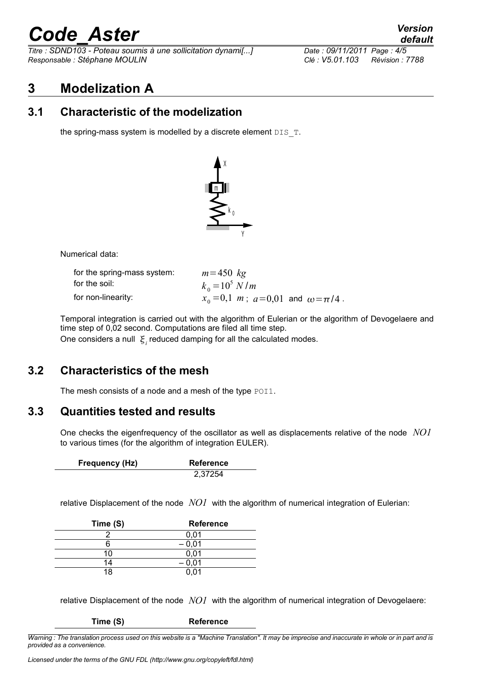# *Code\_Aster Version*

*Titre : SDND103 - Poteau soumis à une sollicitation dynami[...] Date : 09/11/2011 Page : 4/5 Responsable : Stéphane MOULIN Clé : V5.01.103 Révision : 7788*

### **3 Modelization A**

#### **3.1 Characteristic of the modelization**

the spring-mass system is modelled by a discrete element  $DIS$   $T$ .



Numerical data:

| for the spring-mass system: | $m = 450$ kg                                       |
|-----------------------------|----------------------------------------------------|
| for the soil:               | $k_0 = 10^5$ N/m                                   |
| for non-linearity:          | $x_0 = 0, 1$ m; $a = 0, 01$ and $\omega = \pi/4$ . |

Temporal integration is carried out with the algorithm of Eulerian or the algorithm of Devogelaere and time step of 0,02 second. Computations are filed all time step.

One considers a null  $\mathfrak{E}_i$  reduced damping for all the calculated modes.

#### **3.2 Characteristics of the mesh**

The mesh consists of a node and a mesh of the type POI1.

#### **3.3 Quantities tested and results**

One checks the eigenfrequency of the oscillator as well as displacements relative of the node *NO1* to various times (for the algorithm of integration EULER).

| Frequency (Hz) | Reference |
|----------------|-----------|
|                | 2,37254   |

relative Displacement of the node *NO1* with the algorithm of numerical integration of Eulerian:

| Time (S) | <b>Reference</b> |
|----------|------------------|
|          | 0,01             |
|          | $-0.01$          |
| 10       | 0,01             |
| 14       | $-0,01$          |
| 18       |                  |

relative Displacement of the node *NO1* with the algorithm of numerical integration of Devogelaere:

**Time (S) Reference**

*Warning : The translation process used on this website is a "Machine Translation". It may be imprecise and inaccurate in whole or in part and is provided as a convenience.*